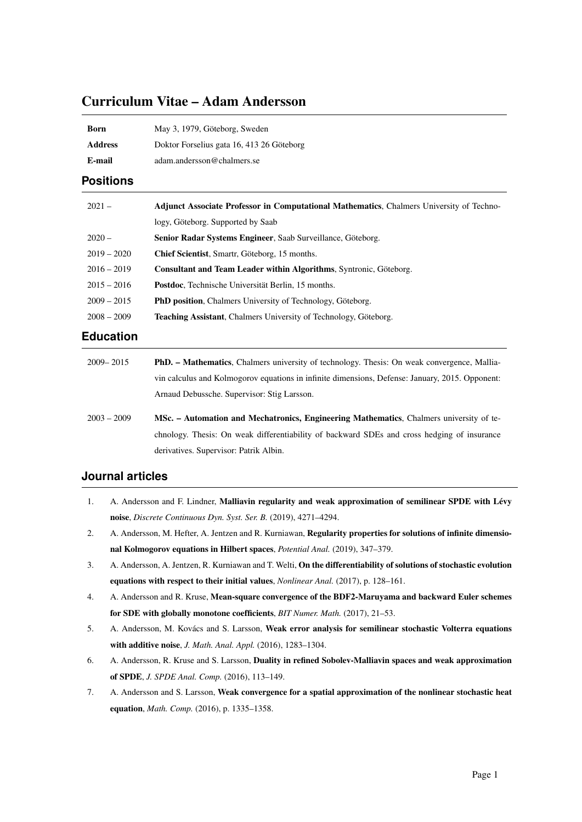# Curriculum Vitae – Adam Andersson

| Born           | May 3, 1979, Göteborg, Sweden             |
|----------------|-------------------------------------------|
| <b>Address</b> | Doktor Forselius gata 16, 413 26 Göteborg |
| E-mail         | adam.andersson@chalmers.se                |

## **Positions**

| $2021 -$      | <b>Adjunct Associate Professor in Computational Mathematics, Chalmers University of Techno-</b> |
|---------------|-------------------------------------------------------------------------------------------------|
|               | logy, Göteborg. Supported by Saab                                                               |
| $2020 -$      | Senior Radar Systems Engineer, Saab Surveillance, Göteborg.                                     |
| $2019 - 2020$ | Chief Scientist, Smartr, Göteborg, 15 months.                                                   |
| $2016 - 2019$ | <b>Consultant and Team Leader within Algorithms, Syntronic, Göteborg.</b>                       |
| $2015 - 2016$ | Postdoc, Technische Universität Berlin, 15 months.                                              |
| $2009 - 2015$ | <b>PhD position, Chalmers University of Technology, Göteborg.</b>                               |
| $2008 - 2009$ | <b>Teaching Assistant, Chalmers University of Technology, Göteborg.</b>                         |

# **Education**

| $2009 - 2015$ | <b>PhD.</b> – Mathematics, Chalmers university of technology. Thesis: On weak convergence, Mallia- |
|---------------|----------------------------------------------------------------------------------------------------|
|               | vin calculus and Kolmogorov equations in infinite dimensions, Defense: January, 2015. Opponent:    |
|               | Arnaud Debussche, Supervisor: Stig Larsson.                                                        |
| $2003 - 2009$ | <b>MSc.</b> – Automation and Mechatronics, Engineering Mathematics, Chalmers university of te-     |
|               | chnology. Thesis: On weak differentiability of backward SDEs and cross hedging of insurance        |
|               | derivatives. Supervisor: Patrik Albin.                                                             |

### **Journal articles**

- 1. A. Andersson and F. Lindner, Malliavin regularity and weak approximation of semilinear SPDE with Lévy noise, *Discrete Continuous Dyn. Syst. Ser. B.* (2019), 4271–4294.
- 2. A. Andersson, M. Hefter, A. Jentzen and R. Kurniawan, Regularity properties for solutions of infinite dimensional Kolmogorov equations in Hilbert spaces, *Potential Anal.* (2019), 347–379.
- 3. A. Andersson, A. Jentzen, R. Kurniawan and T. Welti, On the differentiability of solutions of stochastic evolution equations with respect to their initial values, *Nonlinear Anal.* (2017), p. 128–161.
- 4. A. Andersson and R. Kruse, Mean-square convergence of the BDF2-Maruyama and backward Euler schemes for SDE with globally monotone coefficients, *BIT Numer. Math.* (2017), 21–53.
- 5. A. Andersson, M. Kovács and S. Larsson, Weak error analysis for semilinear stochastic Volterra equations with additive noise, *J. Math. Anal. Appl.* (2016), 1283–1304.
- 6. A. Andersson, R. Kruse and S. Larsson, Duality in refined Sobolev-Malliavin spaces and weak approximation of SPDE, *J. SPDE Anal. Comp.* (2016), 113–149.
- 7. A. Andersson and S. Larsson, Weak convergence for a spatial approximation of the nonlinear stochastic heat equation, *Math. Comp.* (2016), p. 1335–1358.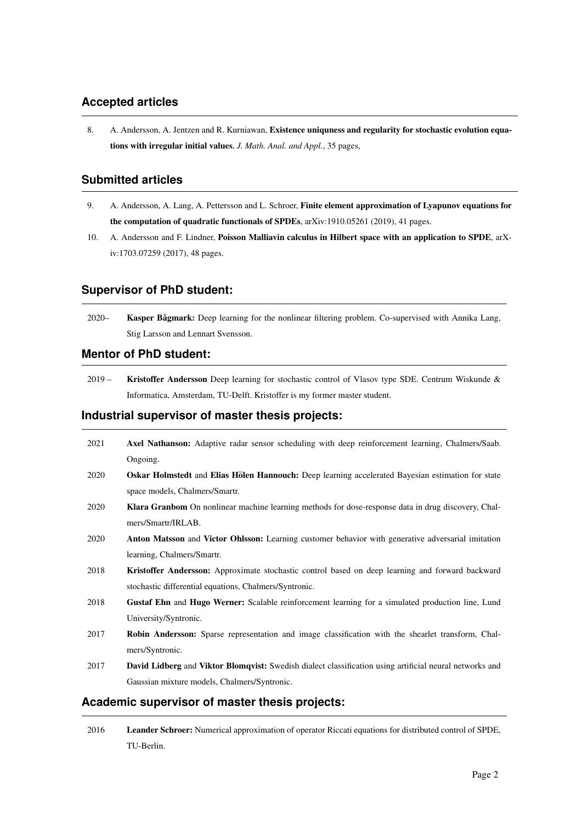# **Accepted articles**

8. A. Andersson, A. Jentzen and R. Kurniawan, Existence uniquness and regularity for stochastic evolution equations with irregular initial values, *J. Math. Anal. and Appl.*, 35 pages,

# **Submitted articles**

- 9. A. Andersson, A. Lang, A. Pettersson and L. Schroer, Finite element approximation of Lyapunov equations for the computation of quadratic functionals of SPDEs, arXiv:1910.05261 (2019), 41 pages.
- 10. A. Andersson and F. Lindner, Poisson Malliavin calculus in Hilbert space with an application to SPDE, arXiv:1703.07259 (2017), 48 pages.

### **Supervisor of PhD student:**

2020– Kasper Bågmark: Deep learning for the nonlinear filtering problem. Co-supervised with Annika Lang, Stig Larsson and Lennart Svensson.

### **Mentor of PhD student:**

2019 – Kristoffer Andersson Deep learning for stochastic control of Vlasov type SDE. Centrum Wiskunde & Informatica, Amsterdam, TU-Delft. Kristoffer is my former master student.

### **Industrial supervisor of master thesis projects:**

| 2021 | Axel Nathanson: Adaptive radar sensor scheduling with deep reinforcement learning, Chalmers/Saab.              |
|------|----------------------------------------------------------------------------------------------------------------|
|      | Ongoing.                                                                                                       |
| 2020 | Oskar Holmstedt and Elias Hölen Hannouch: Deep learning accelerated Bayesian estimation for state              |
|      | space models, Chalmers/Smartr.                                                                                 |
| 2020 | <b>Klara Granbom</b> On nonlinear machine learning methods for dose-response data in drug discovery, Chal-     |
|      | mers/Smartr/IRLAB.                                                                                             |
| 2020 | Anton Matsson and Victor Ohlsson: Learning customer behavior with generative adversarial imitation             |
|      | learning, Chalmers/Smartr.                                                                                     |
| 2018 | Kristoffer Andersson: Approximate stochastic control based on deep learning and forward backward               |
|      | stochastic differential equations, Chalmers/Syntronic.                                                         |
| 2018 | Gustaf Ehn and Hugo Werner: Scalable reinforcement learning for a simulated production line, Lund              |
|      | University/Syntronic.                                                                                          |
| 2017 | Robin Andersson: Sparse representation and image classification with the shearlet transform, Chal-             |
|      | mers/Syntronic.                                                                                                |
| 2017 | <b>David Lidberg and Viktor Blomqvist:</b> Swedish dialect classification using artificial neural networks and |
|      | Gaussian mixture models, Chalmers/Syntronic.                                                                   |
|      | Academic supervisor of master thesis projects:                                                                 |

2016 Leander Schroer: Numerical approximation of operator Riccati equations for distributed control of SPDE, TU-Berlin.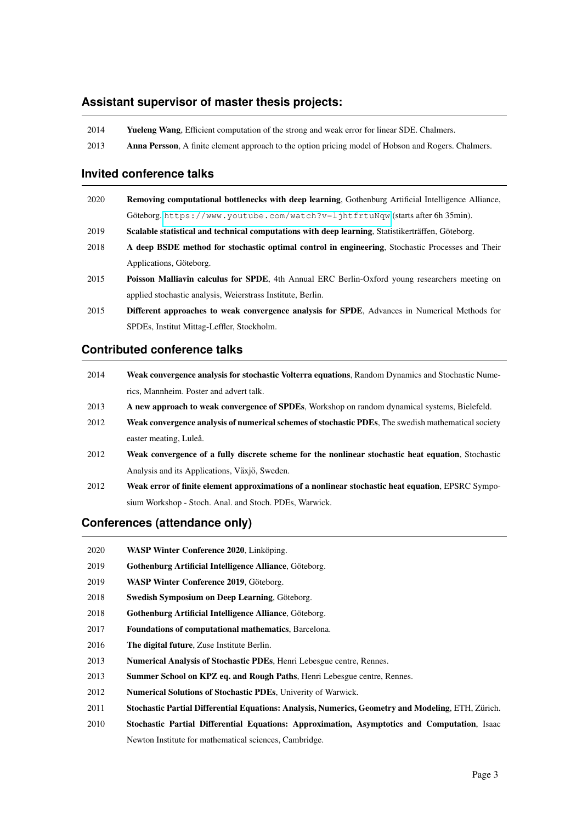## **Assistant supervisor of master thesis projects:**

| 2014 | <b>Yueleng Wang, Efficient computation of the strong and weak error for linear SDE. Chalmers.</b>           |
|------|-------------------------------------------------------------------------------------------------------------|
| 2013 | <b>Anna Persson</b> , A finite element approach to the option pricing model of Hobson and Rogers. Chalmers. |

#### **Invited conference talks**

| 2020 | Removing computational bottlenecks with deep learning, Gothenburg Artificial Intelligence Alliance,    |
|------|--------------------------------------------------------------------------------------------------------|
|      | Göteborg. https://www.youtube.com/watch?v=1jhtfrtuNqw(starts after 6h 35min).                          |
| 2019 | Scalable statistical and technical computations with deep learning, Statistikerträffen, Göteborg.      |
| 2018 | A deep BSDE method for stochastic optimal control in engineering, Stochastic Processes and Their       |
|      | Applications, Göteborg.                                                                                |
| 2015 | <b>Poisson Malliavin calculus for SPDE</b> , 4th Annual ERC Berlin-Oxford young researchers meeting on |
|      | applied stochastic analysis, Weierstrass Institute, Berlin.                                            |
| 2015 | Different approaches to weak convergence analysis for SPDE, Advances in Numerical Methods for          |

### **Contributed conference talks**

SPDEs, Institut Mittag-Leffler, Stockholm.

| 2014 | Weak convergence analysis for stochastic Volterra equations, Random Dynamics and Stochastic Nume-   |
|------|-----------------------------------------------------------------------------------------------------|
|      | rics. Mannheim. Poster and advert talk.                                                             |
| 2013 | A new approach to weak convergence of SPDEs, Workshop on random dynamical systems, Bielefeld.       |
| 2012 | Weak convergence analysis of numerical schemes of stochastic PDEs, The swedish mathematical society |
|      | easter meating, Luleå.                                                                              |
| 2012 | Weak convergence of a fully discrete scheme for the nonlinear stochastic heat equation, Stochastic  |
|      | Analysis and its Applications, Växjö, Sweden.                                                       |
| 2012 | Weak error of finite element approximations of a nonlinear stochastic heat equation, EPSRC Sympo-   |
|      | sium Workshop - Stoch. Anal. and Stoch. PDEs, Warwick.                                              |
|      |                                                                                                     |

# **Conferences (attendance only)**

| 2020 | WASP Winter Conference 2020, Linköping. |
|------|-----------------------------------------|
|------|-----------------------------------------|

- 2019 Gothenburg Artificial Intelligence Alliance, Göteborg.
- 2019 WASP Winter Conference 2019, Göteborg.
- 2018 Swedish Symposium on Deep Learning, Göteborg.
- 2018 Gothenburg Artificial Intelligence Alliance, Göteborg.
- 2017 Foundations of computational mathematics, Barcelona.
- 2016 The digital future, Zuse Institute Berlin.
- 2013 Numerical Analysis of Stochastic PDEs, Henri Lebesgue centre, Rennes.
- 2013 Summer School on KPZ eq. and Rough Paths, Henri Lebesgue centre, Rennes.
- 2012 Numerical Solutions of Stochastic PDEs, Univerity of Warwick.
- 2011 Stochastic Partial Differential Equations: Analysis, Numerics, Geometry and Modeling, ETH, Zürich.
- 2010 Stochastic Partial Differential Equations: Approximation, Asymptotics and Computation, Isaac Newton Institute for mathematical sciences, Cambridge.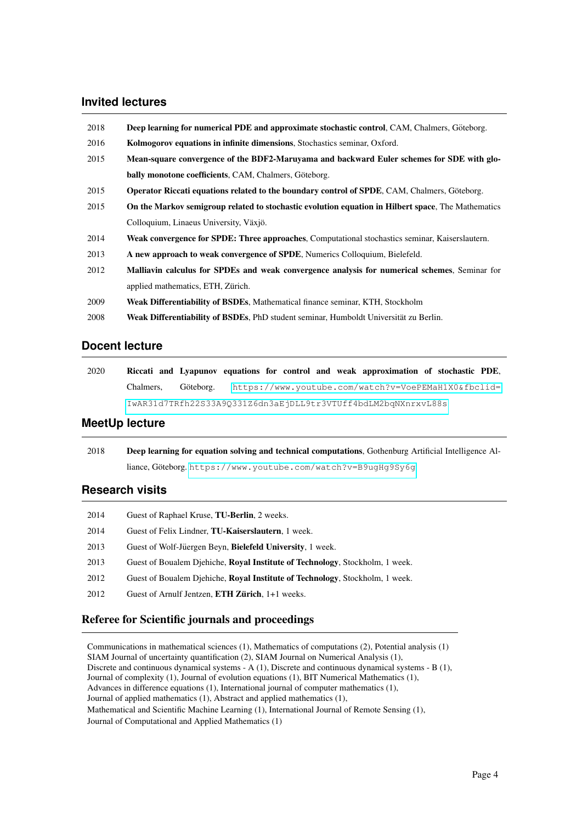## **Invited lectures**

| 2018 | <b>Deep learning for numerical PDE and approximate stochastic control, CAM, Chalmers, Göteborg.</b> |
|------|-----------------------------------------------------------------------------------------------------|
| 2016 | Kolmogorov equations in infinite dimensions, Stochastics seminar, Oxford.                           |
| 2015 | Mean-square convergence of the BDF2-Maruyama and backward Euler schemes for SDE with glo-           |
|      | bally monotone coefficients, CAM, Chalmers, Göteborg.                                               |
| 2015 | <b>Operator Riccati equations related to the boundary control of SPDE, CAM, Chalmers, Göteborg.</b> |
| 2015 | On the Markov semigroup related to stochastic evolution equation in Hilbert space, The Mathematics  |
|      | Colloquium, Linaeus University, Växjö.                                                              |
| 2014 | Weak convergence for SPDE: Three approaches, Computational stochastics seminar, Kaiserslautern.     |
| 2013 | A new approach to weak convergence of SPDE, Numerics Colloquium, Bielefeld.                         |
| 2012 | Malliavin calculus for SPDEs and weak convergence analysis for numerical schemes, Seminar for       |
|      | applied mathematics, ETH, Zürich.                                                                   |
| 2009 | <b>Weak Differentiability of BSDEs, Mathematical finance seminar, KTH, Stockholm</b>                |
| 2008 | Weak Differentiability of BSDEs, PhD student seminar, Humboldt Universität zu Berlin.               |

### **Docent lecture**

| 2020 |  |  |  | Riccati and Lyapunov equations for control and weak approximation of stochastic PDE, |  |  |
|------|--|--|--|--------------------------------------------------------------------------------------|--|--|
|      |  |  |  | Chalmers, Göteborg. https://www.youtube.com/watch?v=VoePEMaH1X0&fbclid=              |  |  |
|      |  |  |  | IwAR31d7TRfh22S33A9Q331Z6dn3aEjDLL9tr3VTUff4bdLM2bqNXnrxvL88s                        |  |  |

# **MeetUp lecture**

| 2018 | <b>Deep learning for equation solving and technical computations.</b> Gothenburg Artificial Intelligence Al- |
|------|--------------------------------------------------------------------------------------------------------------|
|      | $liance, Göteborg. https://www.voutube.com/watch?v=B9uqHq9Sv6q$                                              |

# **Research visits**

| 2014 | Guest of Raphael Kruse, <b>TU-Berlin</b> , 2 weeks.                                  |
|------|--------------------------------------------------------------------------------------|
| 2014 | Guest of Felix Lindner, <b>TU-Kaiserslautern</b> , 1 week.                           |
| 2013 | Guest of Wolf-Jüergen Beyn, Bielefeld University, 1 week.                            |
| 2013 | Guest of Boualem Djehiche, Royal Institute of Technology, Stockholm, 1 week.         |
| 2012 | Guest of Boualem Diehiche, <b>Royal Institute of Technology</b> , Stockholm, 1 week. |
| 2012 | Guest of Arnulf Jentzen, ETH Zürich, 1+1 weeks.                                      |
|      |                                                                                      |

# Referee for Scientific journals and proceedings

Communications in mathematical sciences (1), Mathematics of computations (2), Potential analysis (1) SIAM Journal of uncertainty quantification (2), SIAM Journal on Numerical Analysis (1), Discrete and continuous dynamical systems - A (1), Discrete and continuous dynamical systems - B (1), Journal of complexity (1), Journal of evolution equations (1), BIT Numerical Mathematics (1), Advances in difference equations (1), International journal of computer mathematics (1), Journal of applied mathematics (1), Abstract and applied mathematics (1), Mathematical and Scientific Machine Learning (1), International Journal of Remote Sensing (1), Journal of Computational and Applied Mathematics (1)